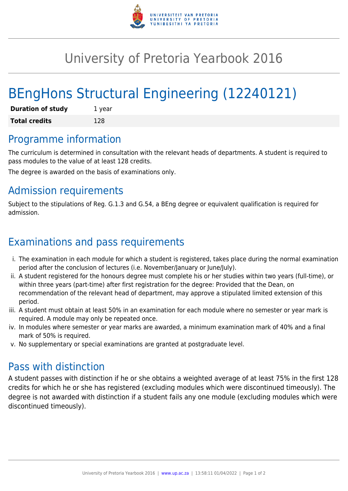

## University of Pretoria Yearbook 2016

# BEngHons Structural Engineering (12240121)

| <b>Duration of study</b> | 1 year |
|--------------------------|--------|
| <b>Total credits</b>     | 128    |

#### Programme information

The curriculum is determined in consultation with the relevant heads of departments. A student is required to pass modules to the value of at least 128 credits.

The degree is awarded on the basis of examinations only.

### Admission requirements

Subject to the stipulations of Reg. G.1.3 and G.54, a BEng degree or equivalent qualification is required for admission.

## Examinations and pass requirements

- i. The examination in each module for which a student is registered, takes place during the normal examination period after the conclusion of lectures (i.e. November/January or June/July).
- ii. A student registered for the honours degree must complete his or her studies within two years (full-time), or within three years (part-time) after first registration for the degree: Provided that the Dean, on recommendation of the relevant head of department, may approve a stipulated limited extension of this period.
- iii. A student must obtain at least 50% in an examination for each module where no semester or year mark is required. A module may only be repeated once.
- iv. In modules where semester or year marks are awarded, a minimum examination mark of 40% and a final mark of 50% is required.
- v. No supplementary or special examinations are granted at postgraduate level.

#### Pass with distinction

A student passes with distinction if he or she obtains a weighted average of at least 75% in the first 128 credits for which he or she has registered (excluding modules which were discontinued timeously). The degree is not awarded with distinction if a student fails any one module (excluding modules which were discontinued timeously).